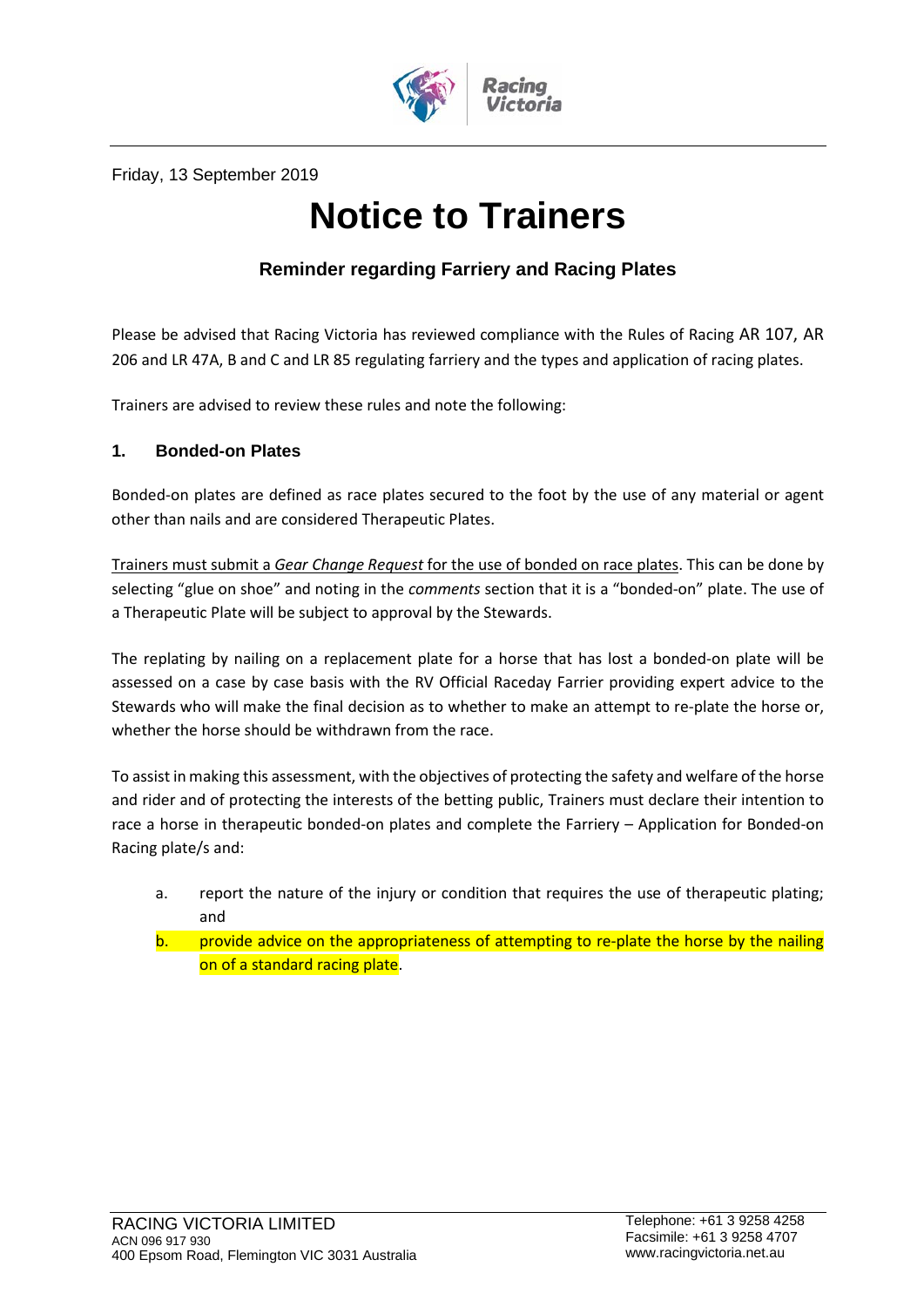

Friday, 13 September 2019

# **Notice to Trainers**

# **Reminder regarding Farriery and Racing Plates**

Please be advised that Racing Victoria has reviewed compliance with the Rules of Racing AR 107, AR 206 and LR 47A, B and C and LR 85 regulating farriery and the types and application of racing plates.

Trainers are advised to review these rules and note the following:

## **1. Bonded-on Plates**

Bonded-on plates are defined as race plates secured to the foot by the use of any material or agent other than nails and are considered Therapeutic Plates.

Trainers must submit a *Gear Change Request* for the use of bonded on race plates. This can be done by selecting "glue on shoe" and noting in the *comments* section that it is a "bonded-on" plate. The use of a Therapeutic Plate will be subject to approval by the Stewards.

The replating by nailing on a replacement plate for a horse that has lost a bonded-on plate will be assessed on a case by case basis with the RV Official Raceday Farrier providing expert advice to the Stewards who will make the final decision as to whether to make an attempt to re-plate the horse or, whether the horse should be withdrawn from the race.

To assist in making this assessment, with the objectives of protecting the safety and welfare of the horse and rider and of protecting the interests of the betting public, Trainers must declare their intention to race a horse in therapeutic bonded-on plates and complete the Farriery – Application for Bonded-on Racing plate/s and:

- a. report the nature of the injury or condition that requires the use of therapeutic plating; and
- b. provide advice on the appropriateness of attempting to re-plate the horse by the nailing on of a standard racing plate.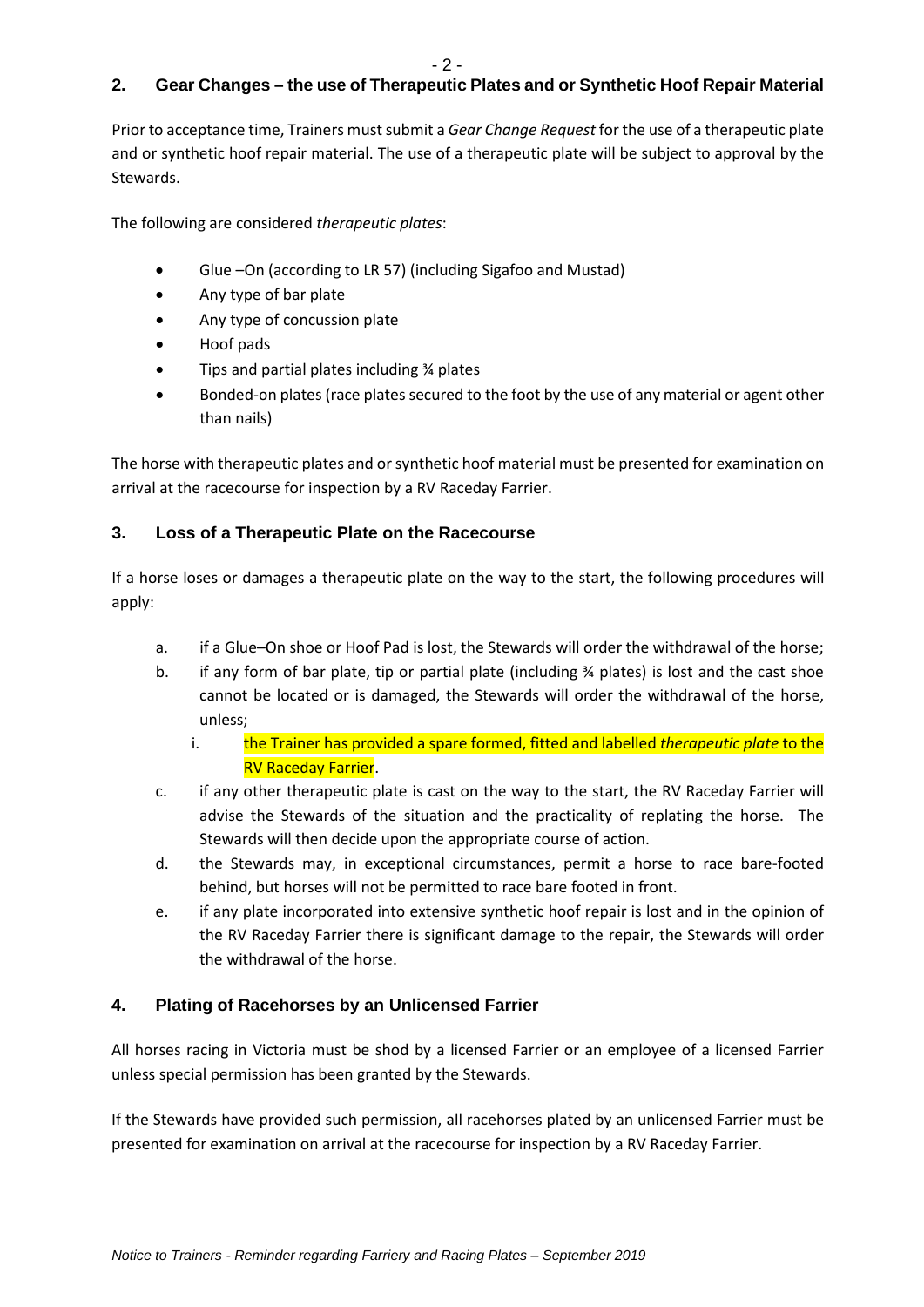# **2. Gear Changes – the use of Therapeutic Plates and or Synthetic Hoof Repair Material**

Prior to acceptance time, Trainers must submit a *Gear Change Request* for the use of a therapeutic plate and or synthetic hoof repair material. The use of a therapeutic plate will be subject to approval by the Stewards.

The following are considered *therapeutic plates*:

- Glue –On (according to LR 57) (including Sigafoo and Mustad)
- Any type of bar plate
- Any type of concussion plate
- Hoof pads
- Tips and partial plates including ¾ plates
- Bonded-on plates (race plates secured to the foot by the use of any material or agent other than nails)

The horse with therapeutic plates and or synthetic hoof material must be presented for examination on arrival at the racecourse for inspection by a RV Raceday Farrier.

## **3. Loss of a Therapeutic Plate on the Racecourse**

If a horse loses or damages a therapeutic plate on the way to the start, the following procedures will apply:

- a. if a Glue–On shoe or Hoof Pad is lost, the Stewards will order the withdrawal of the horse;
- b. if any form of bar plate, tip or partial plate (including  $\frac{3}{4}$  plates) is lost and the cast shoe cannot be located or is damaged, the Stewards will order the withdrawal of the horse, unless;
	- i. the Trainer has provided a spare formed, fitted and labelled *therapeutic plate* to the RV Raceday Farrier.
- c. if any other therapeutic plate is cast on the way to the start, the RV Raceday Farrier will advise the Stewards of the situation and the practicality of replating the horse. The Stewards will then decide upon the appropriate course of action.
- d. the Stewards may, in exceptional circumstances, permit a horse to race bare-footed behind, but horses will not be permitted to race bare footed in front.
- e. if any plate incorporated into extensive synthetic hoof repair is lost and in the opinion of the RV Raceday Farrier there is significant damage to the repair, the Stewards will order the withdrawal of the horse.

## **4. Plating of Racehorses by an Unlicensed Farrier**

All horses racing in Victoria must be shod by a licensed Farrier or an employee of a licensed Farrier unless special permission has been granted by the Stewards.

If the Stewards have provided such permission, all racehorses plated by an unlicensed Farrier must be presented for examination on arrival at the racecourse for inspection by a RV Raceday Farrier.